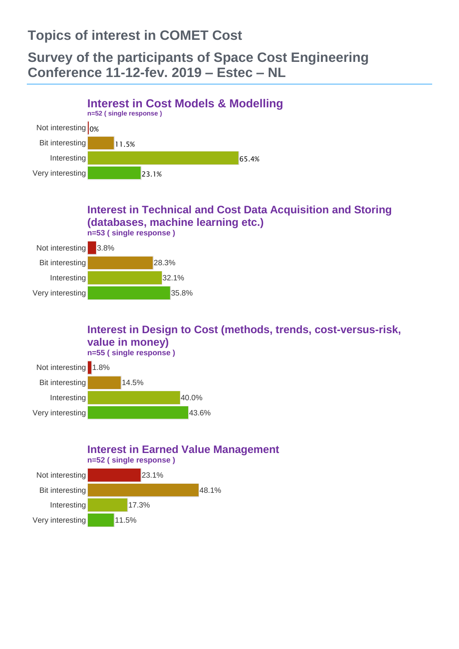## **Topics of interest in COMET Cost**

## **Survey of the participants of Space Cost Engineering Conference 11-12-fev. 2019 – Estec – NL**